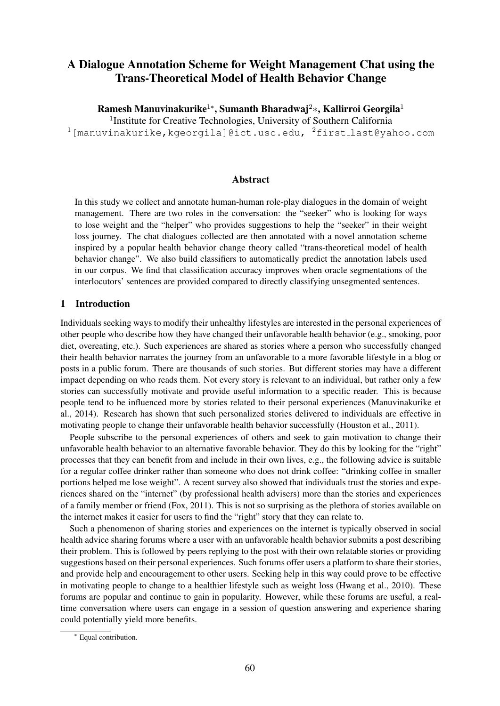# A Dialogue Annotation Scheme for Weight Management Chat using the Trans-Theoretical Model of Health Behavior Change

Ramesh Manuvinakurike<sup>1</sup>\*, Sumanth Bharadwaj<sup>2</sup>\*, Kallirroi Georgila<sup>1</sup>

<sup>1</sup>Institute for Creative Technologies, University of Southern California <sup>1</sup>[manuvinakurike,kgeorgila]@ict.usc.edu, <sup>2</sup>first last@yahoo.com

#### Abstract

In this study we collect and annotate human-human role-play dialogues in the domain of weight management. There are two roles in the conversation: the "seeker" who is looking for ways to lose weight and the "helper" who provides suggestions to help the "seeker" in their weight loss journey. The chat dialogues collected are then annotated with a novel annotation scheme inspired by a popular health behavior change theory called "trans-theoretical model of health behavior change". We also build classifiers to automatically predict the annotation labels used in our corpus. We find that classification accuracy improves when oracle segmentations of the interlocutors' sentences are provided compared to directly classifying unsegmented sentences.

#### 1 Introduction

Individuals seeking ways to modify their unhealthy lifestyles are interested in the personal experiences of other people who describe how they have changed their unfavorable health behavior (e.g., smoking, poor diet, overeating, etc.). Such experiences are shared as stories where a person who successfully changed their health behavior narrates the journey from an unfavorable to a more favorable lifestyle in a blog or posts in a public forum. There are thousands of such stories. But different stories may have a different impact depending on who reads them. Not every story is relevant to an individual, but rather only a few stories can successfully motivate and provide useful information to a specific reader. This is because people tend to be influenced more by stories related to their personal experiences (Manuvinakurike et al., 2014). Research has shown that such personalized stories delivered to individuals are effective in motivating people to change their unfavorable health behavior successfully (Houston et al., 2011).

People subscribe to the personal experiences of others and seek to gain motivation to change their unfavorable health behavior to an alternative favorable behavior. They do this by looking for the "right" processes that they can benefit from and include in their own lives, e.g., the following advice is suitable for a regular coffee drinker rather than someone who does not drink coffee: "drinking coffee in smaller portions helped me lose weight". A recent survey also showed that individuals trust the stories and experiences shared on the "internet" (by professional health advisers) more than the stories and experiences of a family member or friend (Fox, 2011). This is not so surprising as the plethora of stories available on the internet makes it easier for users to find the "right" story that they can relate to.

Such a phenomenon of sharing stories and experiences on the internet is typically observed in social health advice sharing forums where a user with an unfavorable health behavior submits a post describing their problem. This is followed by peers replying to the post with their own relatable stories or providing suggestions based on their personal experiences. Such forums offer users a platform to share their stories, and provide help and encouragement to other users. Seeking help in this way could prove to be effective in motivating people to change to a healthier lifestyle such as weight loss (Hwang et al., 2010). These forums are popular and continue to gain in popularity. However, while these forums are useful, a realtime conversation where users can engage in a session of question answering and experience sharing could potentially yield more benefits.

Equal contribution.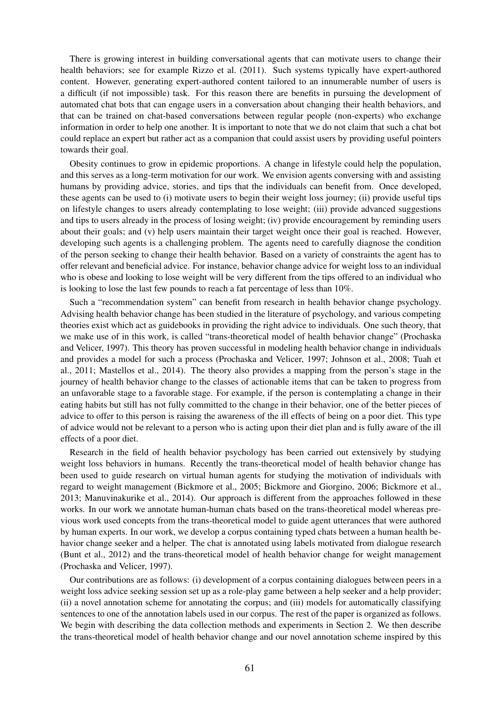There is growing interest in building conversational agents that can motivate users to change their health behaviors; see for example Rizzo et al. (2011). Such systems typically have expert-authored content. However, generating expert-authored content tailored to an innumerable number of users is a difficult (if not impossible) task. For this reason there are benefits in pursuing the development of automated chat bots that can engage users in a conversation about changing their health behaviors, and that can be trained on chat-based conversations between regular people (non-experts) who exchange information in order to help one another. It is important to note that we do not claim that such a chat bot could replace an expert but rather act as a companion that could assist users by providing useful pointers towards their goal.

Obesity continues to grow in epidemic proportions. A change in lifestyle could help the population, and this serves as a long-term motivation for our work. We envision agents conversing with and assisting humans by providing advice, stories, and tips that the individuals can benefit from. Once developed, these agents can be used to (i) motivate users to begin their weight loss journey; (ii) provide useful tips on lifestyle changes to users already contemplating to lose weight; (iii) provide advanced suggestions and tips to users already in the process of losing weight; (iv) provide encouragement by reminding users about their goals; and (v) help users maintain their target weight once their goal is reached. However, developing such agents is a challenging problem. The agents need to carefully diagnose the condition of the person seeking to change their health behavior. Based on a variety of constraints the agent has to offer relevant and beneficial advice. For instance, behavior change advice for weight loss to an individual who is obese and looking to lose weight will be very different from the tips offered to an individual who is looking to lose the last few pounds to reach a fat percentage of less than 10%.

Such a "recommendation system" can benefit from research in health behavior change psychology. Advising health behavior change has been studied in the literature of psychology, and various competing theories exist which act as guidebooks in providing the right advice to individuals. One such theory, that we make use of in this work, is called "trans-theoretical model of health behavior change" (Prochaska and Velicer, 1997). This theory has proven successful in modeling health behavior change in individuals and provides a model for such a process (Prochaska and Velicer, 1997; Johnson et al., 2008; Tuah et al., 2011; Mastellos et al., 2014). The theory also provides a mapping from the person's stage in the journey of health behavior change to the classes of actionable items that can be taken to progress from an unfavorable stage to a favorable stage. For example, if the person is contemplating a change in their eating habits but still has not fully committed to the change in their behavior, one of the better pieces of advice to offer to this person is raising the awareness of the ill effects of being on a poor diet. This type of advice would not be relevant to a person who is acting upon their diet plan and is fully aware of the ill effects of a poor diet.

Research in the field of health behavior psychology has been carried out extensively by studying weight loss behaviors in humans. Recently the trans-theoretical model of health behavior change has been used to guide research on virtual human agents for studying the motivation of individuals with regard to weight management (Bickmore et al., 2005; Bickmore and Giorgino, 2006; Bickmore et al., 2013; Manuvinakurike et al., 2014). Our approach is different from the approaches followed in these works. In our work we annotate human-human chats based on the trans-theoretical model whereas previous work used concepts from the trans-theoretical model to guide agent utterances that were authored by human experts. In our work, we develop a corpus containing typed chats between a human health behavior change seeker and a helper. The chat is annotated using labels motivated from dialogue research (Bunt et al., 2012) and the trans-theoretical model of health behavior change for weight management (Prochaska and Velicer, 1997).

Our contributions are as follows: (i) development of a corpus containing dialogues between peers in a weight loss advice seeking session set up as a role-play game between a help seeker and a help provider; (ii) a novel annotation scheme for annotating the corpus; and (iii) models for automatically classifying sentences to one of the annotation labels used in our corpus. The rest of the paper is organized as follows. We begin with describing the data collection methods and experiments in Section 2. We then describe the trans-theoretical model of health behavior change and our novel annotation scheme inspired by this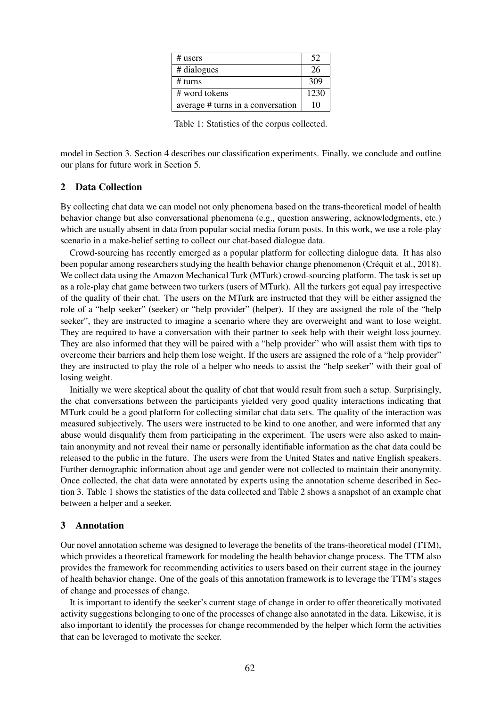| # users                           | 52   |
|-----------------------------------|------|
| # dialogues                       | 26   |
| # turns                           | 309  |
| # word tokens                     | 1230 |
| average # turns in a conversation | 10   |

Table 1: Statistics of the corpus collected.

model in Section 3. Section 4 describes our classification experiments. Finally, we conclude and outline our plans for future work in Section 5.

## 2 Data Collection

By collecting chat data we can model not only phenomena based on the trans-theoretical model of health behavior change but also conversational phenomena (e.g., question answering, acknowledgments, etc.) which are usually absent in data from popular social media forum posts. In this work, we use a role-play scenario in a make-belief setting to collect our chat-based dialogue data.

Crowd-sourcing has recently emerged as a popular platform for collecting dialogue data. It has also been popular among researchers studying the health behavior change phenomenon (Créquit et al., 2018). We collect data using the Amazon Mechanical Turk (MTurk) crowd-sourcing platform. The task is set up as a role-play chat game between two turkers (users of MTurk). All the turkers got equal pay irrespective of the quality of their chat. The users on the MTurk are instructed that they will be either assigned the role of a "help seeker" (seeker) or "help provider" (helper). If they are assigned the role of the "help seeker", they are instructed to imagine a scenario where they are overweight and want to lose weight. They are required to have a conversation with their partner to seek help with their weight loss journey. They are also informed that they will be paired with a "help provider" who will assist them with tips to overcome their barriers and help them lose weight. If the users are assigned the role of a "help provider" they are instructed to play the role of a helper who needs to assist the "help seeker" with their goal of losing weight.

Initially we were skeptical about the quality of chat that would result from such a setup. Surprisingly, the chat conversations between the participants yielded very good quality interactions indicating that MTurk could be a good platform for collecting similar chat data sets. The quality of the interaction was measured subjectively. The users were instructed to be kind to one another, and were informed that any abuse would disqualify them from participating in the experiment. The users were also asked to maintain anonymity and not reveal their name or personally identifiable information as the chat data could be released to the public in the future. The users were from the United States and native English speakers. Further demographic information about age and gender were not collected to maintain their anonymity. Once collected, the chat data were annotated by experts using the annotation scheme described in Section 3. Table 1 shows the statistics of the data collected and Table 2 shows a snapshot of an example chat between a helper and a seeker.

#### 3 Annotation

Our novel annotation scheme was designed to leverage the benefits of the trans-theoretical model (TTM), which provides a theoretical framework for modeling the health behavior change process. The TTM also provides the framework for recommending activities to users based on their current stage in the journey of health behavior change. One of the goals of this annotation framework is to leverage the TTM's stages of change and processes of change.

It is important to identify the seeker's current stage of change in order to offer theoretically motivated activity suggestions belonging to one of the processes of change also annotated in the data. Likewise, it is also important to identify the processes for change recommended by the helper which form the activities that can be leveraged to motivate the seeker.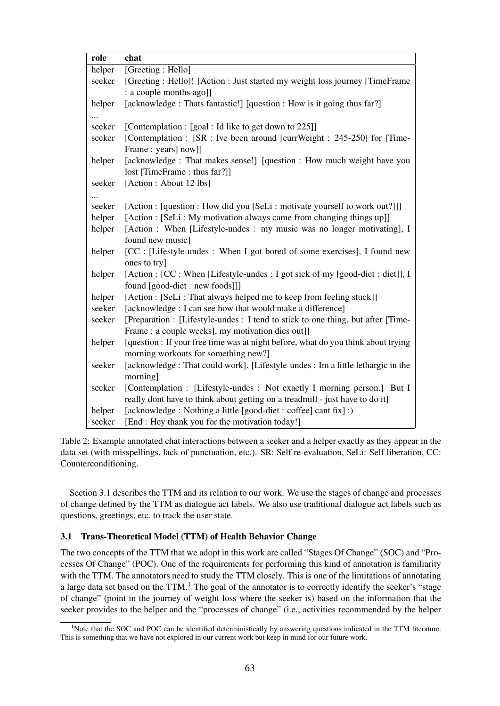| role   | chat                                                                                                               |
|--------|--------------------------------------------------------------------------------------------------------------------|
| helper | [Greeting: Hello]                                                                                                  |
| seeker | [Greeting : Hello]! [Action : Just started my weight loss journey [TimeFrame]                                      |
|        | : a couple months ago]]                                                                                            |
| helper | [acknowledge : Thats fantastic!] [question : How is it going thus far?]                                            |
|        |                                                                                                                    |
| seeker | [Contemplation : [goal : Id like to get down to 225]]                                                              |
| seeker | [Contemplation : [SR : Ive been around [currWeight : 245-250] for [Time-                                           |
|        | Frame: years] now]]                                                                                                |
| helper | [acknowledge : That makes sense!] [question : How much weight have you                                             |
|        | lost [TimeFrame : thus far?]]                                                                                      |
| seeker | [Action : About 12 lbs]                                                                                            |
|        |                                                                                                                    |
| seeker | [Action : [question : How did you [SeLi : motivate yourself to work out?]]]                                        |
| helper | [Action : [SeLi : My motivation always came from changing things up]]                                              |
| helper | [Action : When [Lifestyle-undes : my music was no longer motivating], I                                            |
|        | found new music]                                                                                                   |
| helper | [CC : [Lifestyle-undes : When I got bored of some exercises], I found new                                          |
|        | ones to try]                                                                                                       |
| helper | [Action : [CC : When [Lifestyle-undes : I got sick of my [good-diet : diet]], I<br>found [good-diet : new foods]]] |
| helper | [Action : [SeLi : That always helped me to keep from feeling stuck]]                                               |
| seeker | [acknowledge : I can see how that would make a difference]                                                         |
| seeker | [Preparation : [Lifestyle-undes : I tend to stick to one thing, but after [Time-                                   |
|        | Frame: a couple weeks], my motivation dies out]]                                                                   |
| helper | [question : If your free time was at night before, what do you think about trying                                  |
|        | morning workouts for something new?]                                                                               |
| seeker | [acknowledge : That could work]. [Lifestyle-undes : Im a little lethargic in the                                   |
|        | morning]                                                                                                           |
| seeker | [Contemplation : [Lifestyle-undes : Not exactly I morning person.] But I                                           |
|        | really dont have to think about getting on a treadmill - just have to do it]                                       |
| helper | [acknowledge : Nothing a little [good-diet : coffee] cant fix] :)                                                  |
| seeker | [End : Hey thank you for the motivation today!]                                                                    |

Table 2: Example annotated chat interactions between a seeker and a helper exactly as they appear in the data set (with misspellings, lack of punctuation, etc.). SR: Self re-evaluation, SeLi: Self liberation, CC: Counterconditioning.

Section 3.1 describes the TTM and its relation to our work. We use the stages of change and processes of change defined by the TTM as dialogue act labels. We also use traditional dialogue act labels such as questions, greetings, etc. to track the user state.

#### 3.1 Trans-Theoretical Model (TTM) of Health Behavior Change

The two concepts of the TTM that we adopt in this work are called "Stages Of Change" (SOC) and "Processes Of Change" (POC). One of the requirements for performing this kind of annotation is familiarity with the TTM. The annotators need to study the TTM closely. This is one of the limitations of annotating a large data set based on the TTM.<sup>1</sup> The goal of the annotator is to correctly identify the seeker's "stage" of change" (point in the journey of weight loss where the seeker is) based on the information that the seeker provides to the helper and the "processes of change" (i.e., activities recommended by the helper

<sup>&</sup>lt;sup>1</sup>Note that the SOC and POC can be identified deterministically by answering questions indicated in the TTM literature. This is something that we have not explored in our current work but keep in mind for our future work.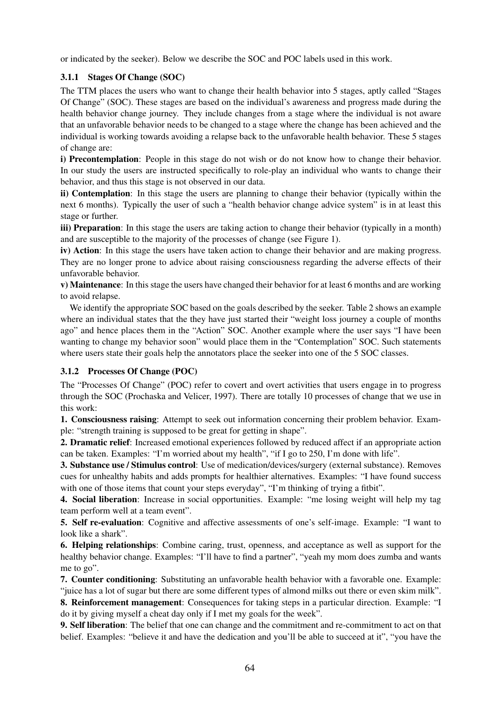or indicated by the seeker). Below we describe the SOC and POC labels used in this work.

# 3.1.1 Stages Of Change (SOC)

The TTM places the users who want to change their health behavior into 5 stages, aptly called "Stages Of Change" (SOC). These stages are based on the individual's awareness and progress made during the health behavior change journey. They include changes from a stage where the individual is not aware that an unfavorable behavior needs to be changed to a stage where the change has been achieved and the individual is working towards avoiding a relapse back to the unfavorable health behavior. These 5 stages of change are:

i) Precontemplation: People in this stage do not wish or do not know how to change their behavior. In our study the users are instructed specifically to role-play an individual who wants to change their behavior, and thus this stage is not observed in our data.

ii) Contemplation: In this stage the users are planning to change their behavior (typically within the next 6 months). Typically the user of such a "health behavior change advice system" is in at least this stage or further.

iii) Preparation: In this stage the users are taking action to change their behavior (typically in a month) and are susceptible to the majority of the processes of change (see Figure 1).

iv) Action: In this stage the users have taken action to change their behavior and are making progress. They are no longer prone to advice about raising consciousness regarding the adverse effects of their unfavorable behavior.

v) Maintenance: In this stage the users have changed their behavior for at least 6 months and are working to avoid relapse.

We identify the appropriate SOC based on the goals described by the seeker. Table 2 shows an example where an individual states that the they have just started their "weight loss journey a couple of months ago" and hence places them in the "Action" SOC. Another example where the user says "I have been wanting to change my behavior soon" would place them in the "Contemplation" SOC. Such statements where users state their goals help the annotators place the seeker into one of the 5 SOC classes.

#### 3.1.2 Processes Of Change (POC)

The "Processes Of Change" (POC) refer to covert and overt activities that users engage in to progress through the SOC (Prochaska and Velicer, 1997). There are totally 10 processes of change that we use in this work:

1. Consciousness raising: Attempt to seek out information concerning their problem behavior. Example: "strength training is supposed to be great for getting in shape".

2. Dramatic relief: Increased emotional experiences followed by reduced affect if an appropriate action can be taken. Examples: "I'm worried about my health", "if I go to 250, I'm done with life".

3. Substance use / Stimulus control: Use of medication/devices/surgery (external substance). Removes cues for unhealthy habits and adds prompts for healthier alternatives. Examples: "I have found success with one of those items that count your steps everyday", "I'm thinking of trying a fitbit".

4. Social liberation: Increase in social opportunities. Example: "me losing weight will help my tag team perform well at a team event".

5. Self re-evaluation: Cognitive and affective assessments of one's self-image. Example: "I want to look like a shark".

6. Helping relationships: Combine caring, trust, openness, and acceptance as well as support for the healthy behavior change. Examples: "I'll have to find a partner", "yeah my mom does zumba and wants me to go".

7. Counter conditioning: Substituting an unfavorable health behavior with a favorable one. Example: "juice has a lot of sugar but there are some different types of almond milks out there or even skim milk".

8. Reinforcement management: Consequences for taking steps in a particular direction. Example: "I do it by giving myself a cheat day only if I met my goals for the week".

9. Self liberation: The belief that one can change and the commitment and re-commitment to act on that belief. Examples: "believe it and have the dedication and you'll be able to succeed at it", "you have the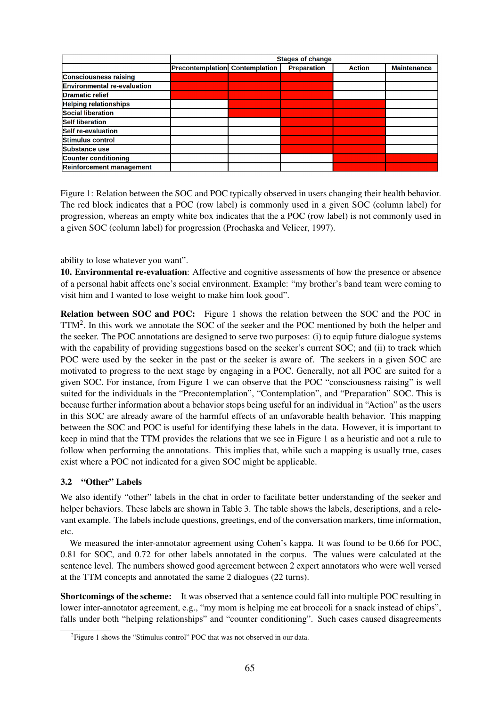|                                    | <b>Stages of change</b>               |  |                    |               |                    |
|------------------------------------|---------------------------------------|--|--------------------|---------------|--------------------|
|                                    | <b>Precontemplation Contemplation</b> |  | <b>Preparation</b> | <b>Action</b> | <b>Maintenance</b> |
| <b>Consciousness raising</b>       |                                       |  |                    |               |                    |
| <b>Environmental re-evaluation</b> |                                       |  |                    |               |                    |
| <b>Dramatic relief</b>             |                                       |  |                    |               |                    |
| <b>Helping relationships</b>       |                                       |  |                    |               |                    |
| <b>Social liberation</b>           |                                       |  |                    |               |                    |
| <b>Self liberation</b>             |                                       |  |                    |               |                    |
| Self re-evaluation                 |                                       |  |                    |               |                    |
| Stimulus control                   |                                       |  |                    |               |                    |
| <b>Substance use</b>               |                                       |  |                    |               |                    |
| Counter conditioning               |                                       |  |                    |               |                    |
| <b>Reinforcement management</b>    |                                       |  |                    |               |                    |

Figure 1: Relation between the SOC and POC typically observed in users changing their health behavior. The red block indicates that a POC (row label) is commonly used in a given SOC (column label) for progression, whereas an empty white box indicates that the a POC (row label) is not commonly used in a given SOC (column label) for progression (Prochaska and Velicer, 1997).

ability to lose whatever you want".

10. Environmental re-evaluation: Affective and cognitive assessments of how the presence or absence of a personal habit affects one's social environment. Example: "my brother's band team were coming to visit him and I wanted to lose weight to make him look good".

Relation between SOC and POC: Figure 1 shows the relation between the SOC and the POC in TTM2. In this work we annotate the SOC of the seeker and the POC mentioned by both the helper and the seeker. The POC annotations are designed to serve two purposes: (i) to equip future dialogue systems with the capability of providing suggestions based on the seeker's current SOC; and (ii) to track which POC were used by the seeker in the past or the seeker is aware of. The seekers in a given SOC are motivated to progress to the next stage by engaging in a POC. Generally, not all POC are suited for a given SOC. For instance, from Figure 1 we can observe that the POC "consciousness raising" is well suited for the individuals in the "Precontemplation", "Contemplation", and "Preparation" SOC. This is because further information about a behavior stops being useful for an individual in "Action" as the users in this SOC are already aware of the harmful effects of an unfavorable health behavior. This mapping between the SOC and POC is useful for identifying these labels in the data. However, it is important to keep in mind that the TTM provides the relations that we see in Figure 1 as a heuristic and not a rule to follow when performing the annotations. This implies that, while such a mapping is usually true, cases exist where a POC not indicated for a given SOC might be applicable.

#### 3.2 "Other" Labels

We also identify "other" labels in the chat in order to facilitate better understanding of the seeker and helper behaviors. These labels are shown in Table 3. The table shows the labels, descriptions, and a relevant example. The labels include questions, greetings, end of the conversation markers, time information, etc.

We measured the inter-annotator agreement using Cohen's kappa. It was found to be 0.66 for POC, 0.81 for SOC, and 0.72 for other labels annotated in the corpus. The values were calculated at the sentence level. The numbers showed good agreement between 2 expert annotators who were well versed at the TTM concepts and annotated the same 2 dialogues (22 turns).

Shortcomings of the scheme: It was observed that a sentence could fall into multiple POC resulting in lower inter-annotator agreement, e.g., "my mom is helping me eat broccoli for a snack instead of chips", falls under both "helping relationships" and "counter conditioning". Such cases caused disagreements

<sup>&</sup>lt;sup>2</sup> Figure 1 shows the "Stimulus control" POC that was not observed in our data.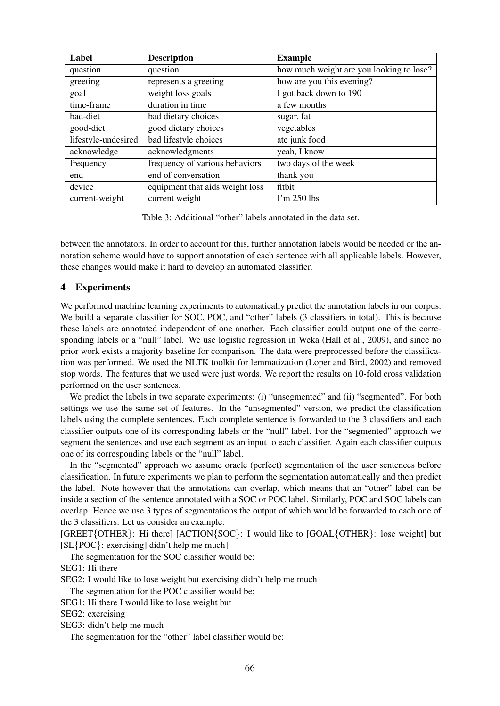| Label               | <b>Description</b>              | <b>Example</b>                           |
|---------------------|---------------------------------|------------------------------------------|
| question            | question                        | how much weight are you looking to lose? |
| greeting            | represents a greeting           | how are you this evening?                |
| goal                | weight loss goals               | I got back down to 190                   |
| time-frame          | duration in time                | a few months                             |
| bad-diet            | bad dietary choices             | sugar, fat                               |
| good-diet           | good dietary choices            | vegetables                               |
| lifestyle-undesired | bad lifestyle choices           | ate junk food                            |
| acknowledge         | acknowledgments                 | yeah, I know                             |
| frequency           | frequency of various behaviors  | two days of the week                     |
| end                 | end of conversation             | thank you                                |
| device              | equipment that aids weight loss | fitbit                                   |
| current-weight      | current weight                  | $\Gamma$ m 250 lbs                       |

Table 3: Additional "other" labels annotated in the data set.

between the annotators. In order to account for this, further annotation labels would be needed or the annotation scheme would have to support annotation of each sentence with all applicable labels. However, these changes would make it hard to develop an automated classifier.

#### 4 Experiments

We performed machine learning experiments to automatically predict the annotation labels in our corpus. We build a separate classifier for SOC, POC, and "other" labels (3 classifiers in total). This is because these labels are annotated independent of one another. Each classifier could output one of the corresponding labels or a "null" label. We use logistic regression in Weka (Hall et al., 2009), and since no prior work exists a majority baseline for comparison. The data were preprocessed before the classification was performed. We used the NLTK toolkit for lemmatization (Loper and Bird, 2002) and removed stop words. The features that we used were just words. We report the results on 10-fold cross validation performed on the user sentences.

We predict the labels in two separate experiments: (i) "unsegmented" and (ii) "segmented". For both settings we use the same set of features. In the "unsegmented" version, we predict the classification labels using the complete sentences. Each complete sentence is forwarded to the 3 classifiers and each classifier outputs one of its corresponding labels or the "null" label. For the "segmented" approach we segment the sentences and use each segment as an input to each classifier. Again each classifier outputs one of its corresponding labels or the "null" label.

In the "segmented" approach we assume oracle (perfect) segmentation of the user sentences before classification. In future experiments we plan to perform the segmentation automatically and then predict the label. Note however that the annotations can overlap, which means that an "other" label can be inside a section of the sentence annotated with a SOC or POC label. Similarly, POC and SOC labels can overlap. Hence we use 3 types of segmentations the output of which would be forwarded to each one of the 3 classifiers. Let us consider an example:

[GREET{OTHER}: Hi there] [ACTION{SOC}: I would like to [GOAL{OTHER}: lose weight] but [SL{POC}: exercising] didn't help me much]

The segmentation for the SOC classifier would be:

SEG1: Hi there

SEG2: I would like to lose weight but exercising didn't help me much

The segmentation for the POC classifier would be:

SEG1: Hi there I would like to lose weight but

SEG2: exercising

SEG3: didn't help me much

The segmentation for the "other" label classifier would be: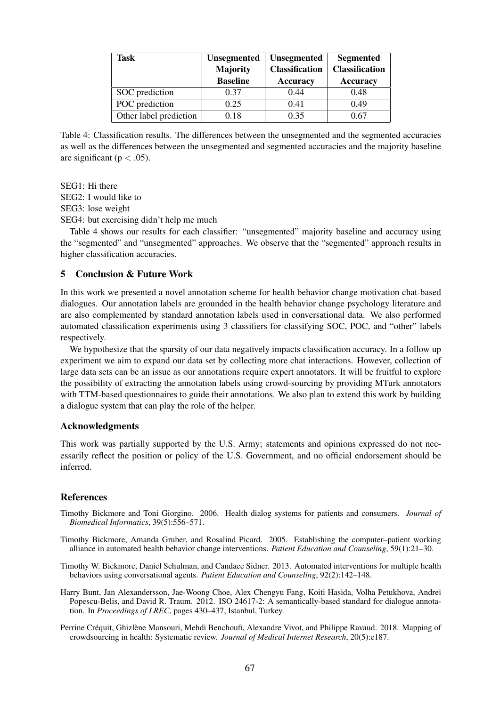| Task                   | <b>Unsegmented</b><br><b>Majority</b> | <b>Unsegmented</b><br><b>Classification</b> | <b>Segmented</b><br><b>Classification</b> |  |
|------------------------|---------------------------------------|---------------------------------------------|-------------------------------------------|--|
|                        | <b>Baseline</b>                       | <b>Accuracy</b>                             | Accuracy                                  |  |
| SOC prediction         | 0.37                                  | 0.44                                        | 0.48                                      |  |
| POC prediction         | 0.25                                  | 0.41                                        | 0.49                                      |  |
| Other label prediction | 0.18                                  | 0.35                                        | 0.67                                      |  |

Table 4: Classification results. The differences between the unsegmented and the segmented accuracies as well as the differences between the unsegmented and segmented accuracies and the majority baseline are significant ( $p < .05$ ).

SEG1: Hi there SEG2: I would like to SEG3: lose weight SEG4: but exercising didn't help me much

Table 4 shows our results for each classifier: "unsegmented" majority baseline and accuracy using the "segmented" and "unsegmented" approaches. We observe that the "segmented" approach results in higher classification accuracies.

## 5 Conclusion & Future Work

In this work we presented a novel annotation scheme for health behavior change motivation chat-based dialogues. Our annotation labels are grounded in the health behavior change psychology literature and are also complemented by standard annotation labels used in conversational data. We also performed automated classification experiments using 3 classifiers for classifying SOC, POC, and "other" labels respectively.

We hypothesize that the sparsity of our data negatively impacts classification accuracy. In a follow up experiment we aim to expand our data set by collecting more chat interactions. However, collection of large data sets can be an issue as our annotations require expert annotators. It will be fruitful to explore the possibility of extracting the annotation labels using crowd-sourcing by providing MTurk annotators with TTM-based questionnaires to guide their annotations. We also plan to extend this work by building a dialogue system that can play the role of the helper.

#### Acknowledgments

This work was partially supported by the U.S. Army; statements and opinions expressed do not necessarily reflect the position or policy of the U.S. Government, and no official endorsement should be inferred.

#### References

- Timothy Bickmore and Toni Giorgino. 2006. Health dialog systems for patients and consumers. *Journal of Biomedical Informatics*, 39(5):556–571.
- Timothy Bickmore, Amanda Gruber, and Rosalind Picard. 2005. Establishing the computer–patient working alliance in automated health behavior change interventions. *Patient Education and Counseling*, 59(1):21–30.
- Timothy W. Bickmore, Daniel Schulman, and Candace Sidner. 2013. Automated interventions for multiple health behaviors using conversational agents. *Patient Education and Counseling*, 92(2):142–148.
- Harry Bunt, Jan Alexandersson, Jae-Woong Choe, Alex Chengyu Fang, Koiti Hasida, Volha Petukhova, Andrei Popescu-Belis, and David R. Traum. 2012. ISO 24617-2: A semantically-based standard for dialogue annotation. In *Proceedings of LREC*, pages 430–437, Istanbul, Turkey.
- Perrine Créquit, Ghizlène Mansouri, Mehdi Benchoufi, Alexandre Vivot, and Philippe Ravaud. 2018. Mapping of crowdsourcing in health: Systematic review. *Journal of Medical Internet Research*, 20(5):e187.